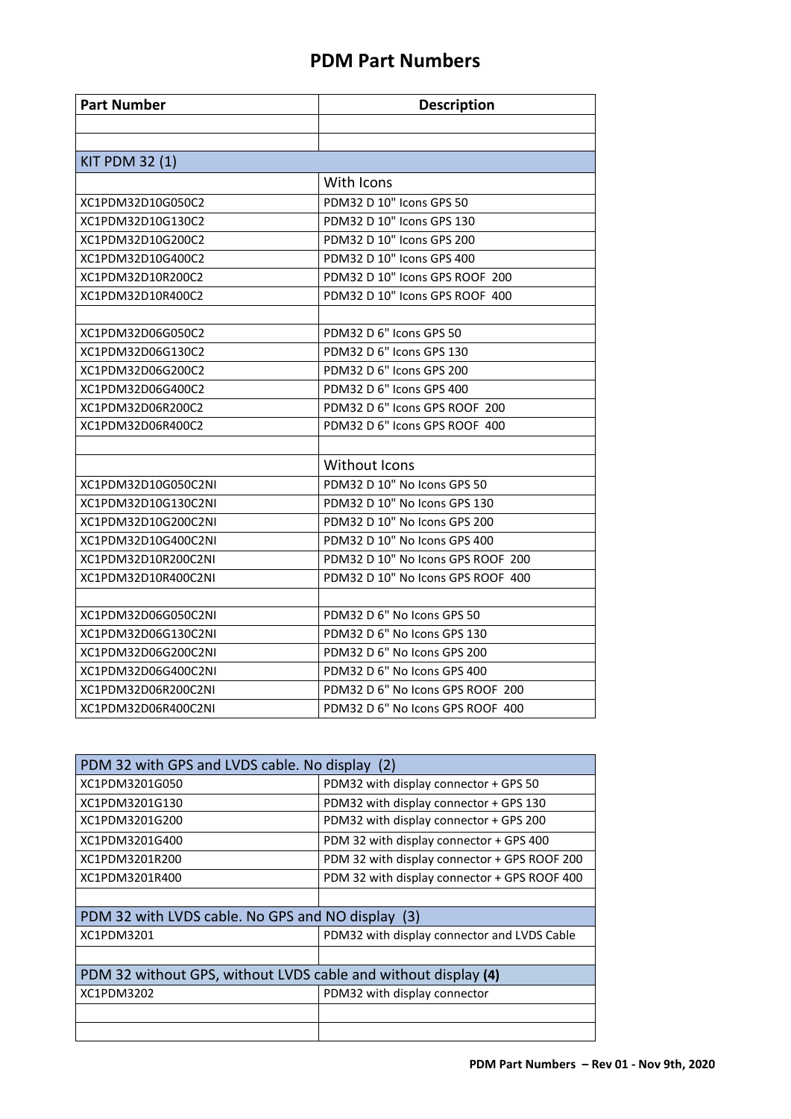| <b>Part Number</b>    | <b>Description</b>                |  |
|-----------------------|-----------------------------------|--|
|                       |                                   |  |
|                       |                                   |  |
| <b>KIT PDM 32 (1)</b> |                                   |  |
|                       | With Icons                        |  |
| XC1PDM32D10G050C2     | PDM32 D 10" Icons GPS 50          |  |
| XC1PDM32D10G130C2     | PDM32 D 10" Icons GPS 130         |  |
| XC1PDM32D10G200C2     | PDM32 D 10" Icons GPS 200         |  |
| XC1PDM32D10G400C2     | PDM32 D 10" Icons GPS 400         |  |
| XC1PDM32D10R200C2     | PDM32 D 10" Icons GPS ROOF 200    |  |
| XC1PDM32D10R400C2     | PDM32 D 10" Icons GPS ROOF 400    |  |
|                       |                                   |  |
| XC1PDM32D06G050C2     | PDM32 D 6" Icons GPS 50           |  |
| XC1PDM32D06G130C2     | PDM32 D 6" Icons GPS 130          |  |
| XC1PDM32D06G200C2     | PDM32 D 6" Icons GPS 200          |  |
| XC1PDM32D06G400C2     | PDM32 D 6" Icons GPS 400          |  |
| XC1PDM32D06R200C2     | PDM32 D 6" Icons GPS ROOF 200     |  |
| XC1PDM32D06R400C2     | PDM32 D 6" Icons GPS ROOF 400     |  |
|                       |                                   |  |
|                       | Without Icons                     |  |
| XC1PDM32D10G050C2NI   | PDM32 D 10" No Icons GPS 50       |  |
| XC1PDM32D10G130C2NI   | PDM32 D 10" No Icons GPS 130      |  |
| XC1PDM32D10G200C2NI   | PDM32 D 10" No Icons GPS 200      |  |
| XC1PDM32D10G400C2NI   | PDM32 D 10" No Icons GPS 400      |  |
| XC1PDM32D10R200C2NI   | PDM32 D 10" No Icons GPS ROOF 200 |  |
| XC1PDM32D10R400C2NI   | PDM32 D 10" No Icons GPS ROOF 400 |  |
|                       |                                   |  |
| XC1PDM32D06G050C2NI   | PDM32 D 6" No Icons GPS 50        |  |
| XC1PDM32D06G130C2NI   | PDM32 D 6" No Icons GPS 130       |  |
| XC1PDM32D06G200C2NI   | PDM32 D 6" No Icons GPS 200       |  |
| XC1PDM32D06G400C2NI   | PDM32 D 6" No Icons GPS 400       |  |
| XC1PDM32D06R200C2NI   | PDM32 D 6" No Icons GPS ROOF 200  |  |
| XC1PDM32D06R400C2NI   | PDM32 D 6" No Icons GPS ROOF 400  |  |

| PDM 32 with GPS and LVDS cable. No display (2)                 |                                              |  |  |
|----------------------------------------------------------------|----------------------------------------------|--|--|
| XC1PDM3201G050                                                 | PDM32 with display connector + GPS 50        |  |  |
| XC1PDM3201G130                                                 | PDM32 with display connector + GPS 130       |  |  |
| XC1PDM3201G200                                                 | PDM32 with display connector + GPS 200       |  |  |
| XC1PDM3201G400                                                 | PDM 32 with display connector + GPS 400      |  |  |
| XC1PDM3201R200                                                 | PDM 32 with display connector + GPS ROOF 200 |  |  |
| XC1PDM3201R400                                                 | PDM 32 with display connector + GPS ROOF 400 |  |  |
|                                                                |                                              |  |  |
| PDM 32 with LVDS cable. No GPS and NO display (3)              |                                              |  |  |
| XC1PDM3201                                                     | PDM32 with display connector and LVDS Cable  |  |  |
|                                                                |                                              |  |  |
| PDM 32 without GPS, without LVDS cable and without display (4) |                                              |  |  |
| XC1PDM3202                                                     | PDM32 with display connector                 |  |  |
|                                                                |                                              |  |  |
|                                                                |                                              |  |  |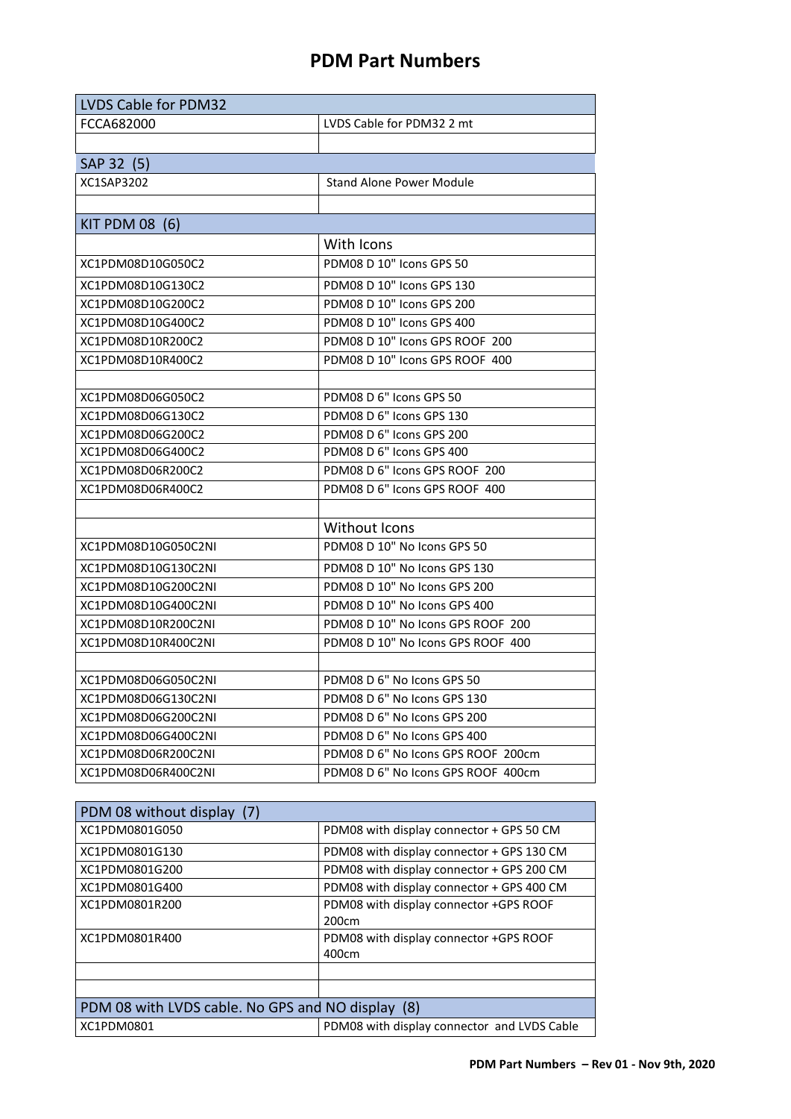| <b>LVDS Cable for PDM32</b> |                                    |  |  |
|-----------------------------|------------------------------------|--|--|
| FCCA682000                  | LVDS Cable for PDM32 2 mt          |  |  |
|                             |                                    |  |  |
| SAP 32 (5)                  |                                    |  |  |
| XC1SAP3202                  | <b>Stand Alone Power Module</b>    |  |  |
|                             |                                    |  |  |
| KIT PDM 08 (6)              |                                    |  |  |
|                             | With Icons                         |  |  |
| XC1PDM08D10G050C2           | PDM08 D 10" Icons GPS 50           |  |  |
| XC1PDM08D10G130C2           | PDM08 D 10" Icons GPS 130          |  |  |
| XC1PDM08D10G200C2           | PDM08 D 10" Icons GPS 200          |  |  |
| XC1PDM08D10G400C2           | PDM08 D 10" Icons GPS 400          |  |  |
| XC1PDM08D10R200C2           | PDM08 D 10" Icons GPS ROOF 200     |  |  |
| XC1PDM08D10R400C2           | PDM08 D 10" Icons GPS ROOF 400     |  |  |
|                             |                                    |  |  |
| XC1PDM08D06G050C2           | PDM08 D 6" Icons GPS 50            |  |  |
| XC1PDM08D06G130C2           | PDM08 D 6" Icons GPS 130           |  |  |
| XC1PDM08D06G200C2           | PDM08 D 6" Icons GPS 200           |  |  |
| XC1PDM08D06G400C2           | PDM08 D 6" Icons GPS 400           |  |  |
| XC1PDM08D06R200C2           | PDM08 D 6" Icons GPS ROOF 200      |  |  |
| XC1PDM08D06R400C2           | PDM08 D 6" Icons GPS ROOF 400      |  |  |
|                             |                                    |  |  |
|                             | Without Icons                      |  |  |
| XC1PDM08D10G050C2NI         | PDM08 D 10" No Icons GPS 50        |  |  |
| XC1PDM08D10G130C2NI         | PDM08 D 10" No Icons GPS 130       |  |  |
| XC1PDM08D10G200C2NI         | PDM08 D 10" No Icons GPS 200       |  |  |
| XC1PDM08D10G400C2NI         | PDM08 D 10" No Icons GPS 400       |  |  |
| XC1PDM08D10R200C2NI         | PDM08 D 10" No Icons GPS ROOF 200  |  |  |
| XC1PDM08D10R400C2NI         | PDM08 D 10" No Icons GPS ROOF 400  |  |  |
|                             |                                    |  |  |
| XC1PDM08D06G050C2NI         | PDM08 D 6" No Icons GPS 50         |  |  |
| XC1PDM08D06G130C2NI         | PDM08 D 6" No Icons GPS 130        |  |  |
| XC1PDM08D06G200C2NI         | PDM08 D 6" No Icons GPS 200        |  |  |
| XC1PDM08D06G400C2NI         | PDM08 D 6" No Icons GPS 400        |  |  |
| XC1PDM08D06R200C2NI         | PDM08 D 6" No Icons GPS ROOF 200cm |  |  |
| XC1PDM08D06R400C2NI         | PDM08 D 6" No Icons GPS ROOF 400cm |  |  |

| PDM 08 without display (7)                        |                                                 |
|---------------------------------------------------|-------------------------------------------------|
| XC1PDM0801G050                                    | PDM08 with display connector + GPS 50 CM        |
| XC1PDM0801G130                                    | PDM08 with display connector + GPS 130 CM       |
| XC1PDM0801G200                                    | PDM08 with display connector + GPS 200 CM       |
| XC1PDM0801G400                                    | PDM08 with display connector + GPS 400 CM       |
| XC1PDM0801R200                                    | PDM08 with display connector +GPS ROOF<br>200cm |
| XC1PDM0801R400                                    | PDM08 with display connector +GPS ROOF<br>400cm |
|                                                   |                                                 |
|                                                   |                                                 |
| PDM 08 with LVDS cable. No GPS and NO display (8) |                                                 |
| XC1PDM0801                                        | PDM08 with display connector and LVDS Cable     |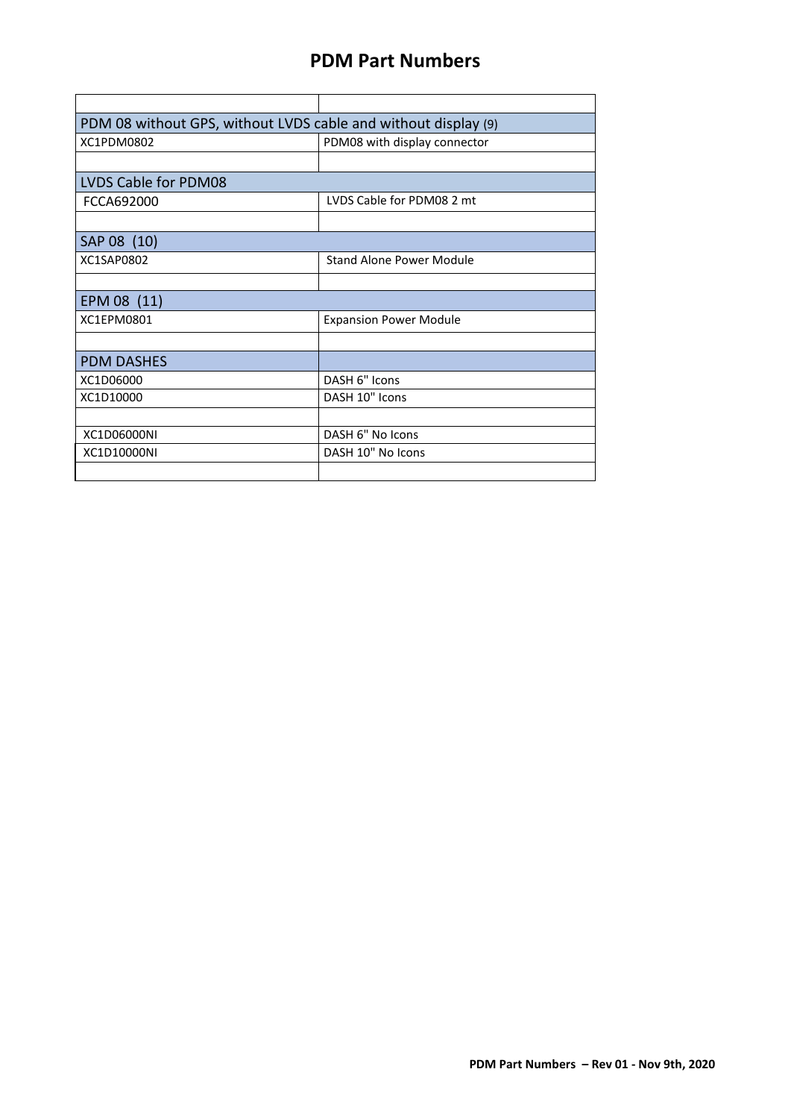| PDM 08 without GPS, without LVDS cable and without display (9) |                                 |  |  |
|----------------------------------------------------------------|---------------------------------|--|--|
| XC1PDM0802<br>PDM08 with display connector                     |                                 |  |  |
|                                                                |                                 |  |  |
| LVDS Cable for PDM08                                           |                                 |  |  |
| FCCA692000                                                     | LVDS Cable for PDM08 2 mt       |  |  |
|                                                                |                                 |  |  |
| SAP 08 (10)                                                    |                                 |  |  |
| XC1SAP0802                                                     | <b>Stand Alone Power Module</b> |  |  |
|                                                                |                                 |  |  |
| EPM 08 (11)                                                    |                                 |  |  |
| XC1EPM0801                                                     | <b>Expansion Power Module</b>   |  |  |
|                                                                |                                 |  |  |
| <b>PDM DASHES</b>                                              |                                 |  |  |
| XC1D06000                                                      | DASH 6" Icons                   |  |  |
| XC1D10000                                                      | DASH 10" Icons                  |  |  |
|                                                                |                                 |  |  |
| XC1D06000NI                                                    | DASH 6" No Icons                |  |  |
| XC1D10000NI                                                    | DASH 10" No Icons               |  |  |
|                                                                |                                 |  |  |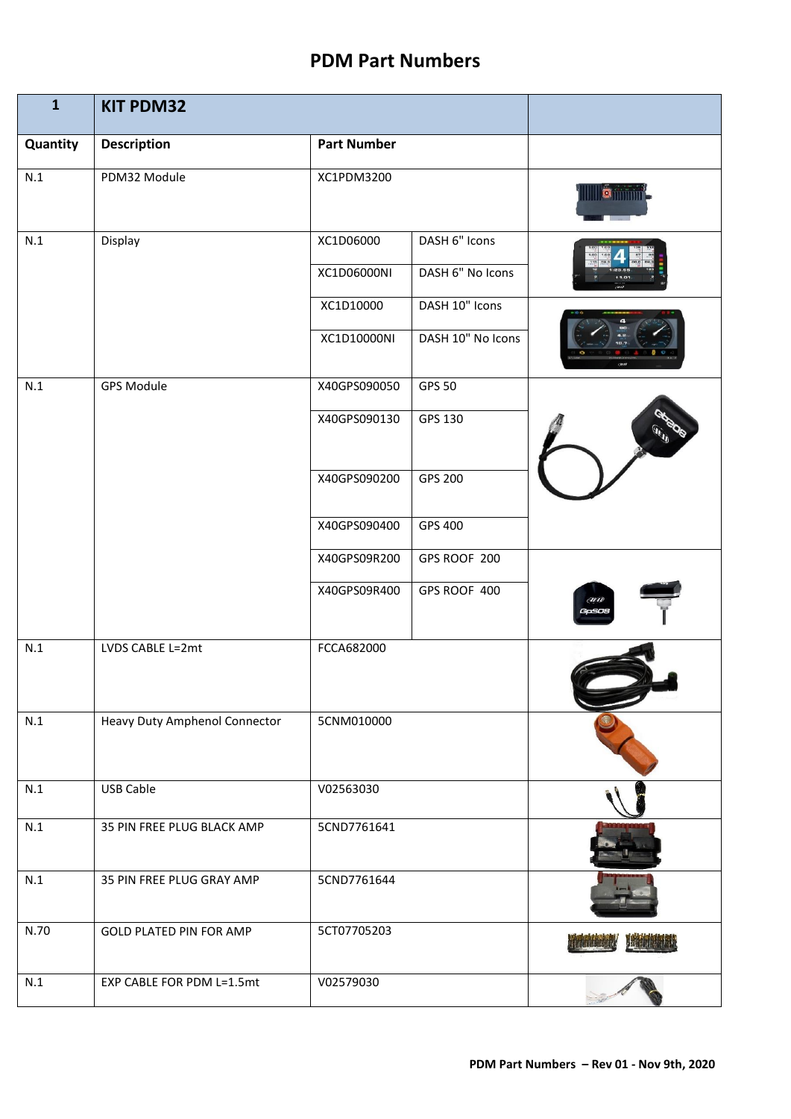| $\mathbf{1}$ | <b>KIT PDM32</b>               |                    |                   |             |
|--------------|--------------------------------|--------------------|-------------------|-------------|
| Quantity     | <b>Description</b>             | <b>Part Number</b> |                   |             |
| N.1          | PDM32 Module                   | XC1PDM3200         |                   | $ {\bf e} $ |
| N.1          | Display                        | XC1D06000          | DASH 6" Icons     |             |
|              |                                | XC1D06000NI        | DASH 6" No Icons  |             |
|              |                                | XC1D10000          | DASH 10" Icons    |             |
|              |                                | XC1D10000NI        | DASH 10" No Icons |             |
| N.1          | <b>GPS Module</b>              | X40GPS090050       | <b>GPS 50</b>     |             |
|              |                                | X40GPS090130       | GPS 130           |             |
|              |                                | X40GPS090200       | GPS 200           |             |
|              |                                | X40GPS090400       | GPS 400           |             |
|              |                                | X40GPS09R200       | GPS ROOF 200      |             |
|              |                                | X40GPS09R400       | GPS ROOF 400      | em<br>GaSo  |
| N.1          | LVDS CABLE L=2mt               | FCCA682000         |                   |             |
| N.1          | Heavy Duty Amphenol Connector  | 5CNM010000         |                   |             |
| N.1          | <b>USB Cable</b>               | V02563030          |                   |             |
| N.1          | 35 PIN FREE PLUG BLACK AMP     | 5CND7761641        |                   |             |
| N.1          | 35 PIN FREE PLUG GRAY AMP      | 5CND7761644        |                   |             |
| N.70         | <b>GOLD PLATED PIN FOR AMP</b> | 5CT07705203        |                   |             |
| N.1          | EXP CABLE FOR PDM L=1.5mt      | V02579030          |                   |             |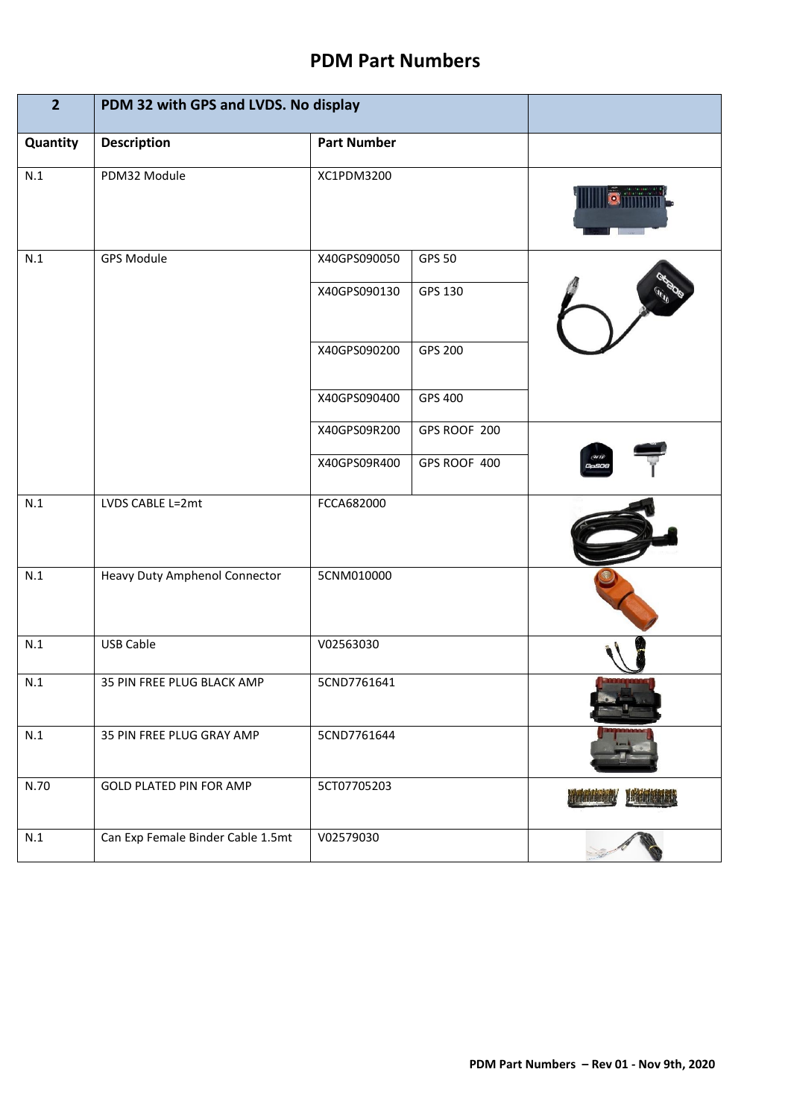| $\overline{2}$ | PDM 32 with GPS and LVDS. No display |                    |               |  |
|----------------|--------------------------------------|--------------------|---------------|--|
| Quantity       | <b>Description</b>                   | <b>Part Number</b> |               |  |
| N.1            | PDM32 Module                         | XC1PDM3200         |               |  |
| N.1            | <b>GPS Module</b>                    | X40GPS090050       | <b>GPS 50</b> |  |
|                |                                      | X40GPS090130       | GPS 130       |  |
|                |                                      | X40GPS090200       | GPS 200       |  |
|                |                                      | X40GPS090400       | GPS 400       |  |
|                |                                      | X40GPS09R200       | GPS ROOF 200  |  |
|                |                                      | X40GPS09R400       | GPS ROOF 400  |  |
| N.1            | LVDS CABLE L=2mt                     | FCCA682000         |               |  |
| N.1            | Heavy Duty Amphenol Connector        | 5CNM010000         |               |  |
| N.1            | <b>USB Cable</b>                     | V02563030          |               |  |
| N.1            | 35 PIN FREE PLUG BLACK AMP           | 5CND7761641        |               |  |
| N.1            | 35 PIN FREE PLUG GRAY AMP            | 5CND7761644        |               |  |
| N.70           | <b>GOLD PLATED PIN FOR AMP</b>       | 5CT07705203        |               |  |
| N.1            | Can Exp Female Binder Cable 1.5mt    | V02579030          |               |  |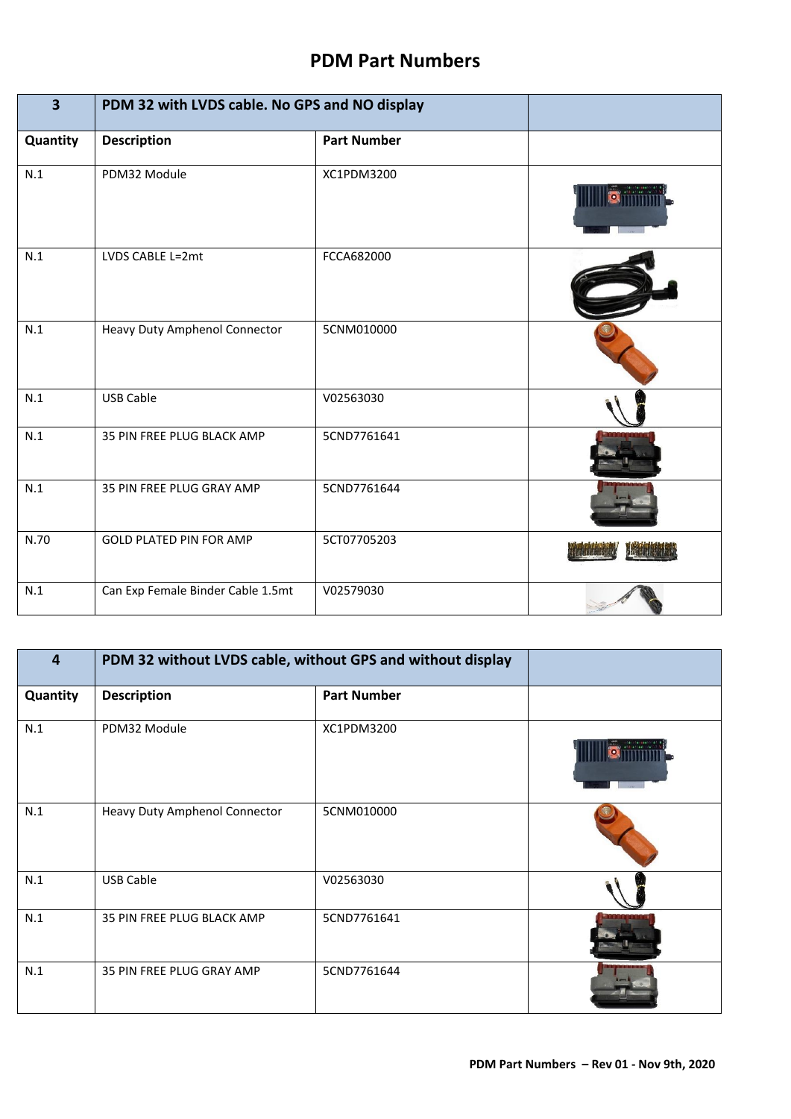| $\overline{\mathbf{3}}$ | PDM 32 with LVDS cable. No GPS and NO display |                    |  |
|-------------------------|-----------------------------------------------|--------------------|--|
| Quantity                | <b>Description</b>                            | <b>Part Number</b> |  |
| N.1                     | PDM32 Module                                  | XC1PDM3200         |  |
| N.1                     | LVDS CABLE L=2mt                              | FCCA682000         |  |
| N.1                     | Heavy Duty Amphenol Connector                 | 5CNM010000         |  |
| N.1                     | <b>USB Cable</b>                              | V02563030          |  |
| N.1                     | 35 PIN FREE PLUG BLACK AMP                    | 5CND7761641        |  |
| N.1                     | 35 PIN FREE PLUG GRAY AMP                     | 5CND7761644        |  |
| N.70                    | <b>GOLD PLATED PIN FOR AMP</b>                | 5CT07705203        |  |
| N.1                     | Can Exp Female Binder Cable 1.5mt             | V02579030          |  |

| 4        | PDM 32 without LVDS cable, without GPS and without display |                    |  |
|----------|------------------------------------------------------------|--------------------|--|
| Quantity | <b>Description</b>                                         | <b>Part Number</b> |  |
| N.1      | PDM32 Module                                               | XC1PDM3200         |  |
| N.1      | Heavy Duty Amphenol Connector                              | 5CNM010000         |  |
| N.1      | <b>USB Cable</b>                                           | V02563030          |  |
| N.1      | 35 PIN FREE PLUG BLACK AMP                                 | 5CND7761641        |  |
| N.1      | 35 PIN FREE PLUG GRAY AMP                                  | 5CND7761644        |  |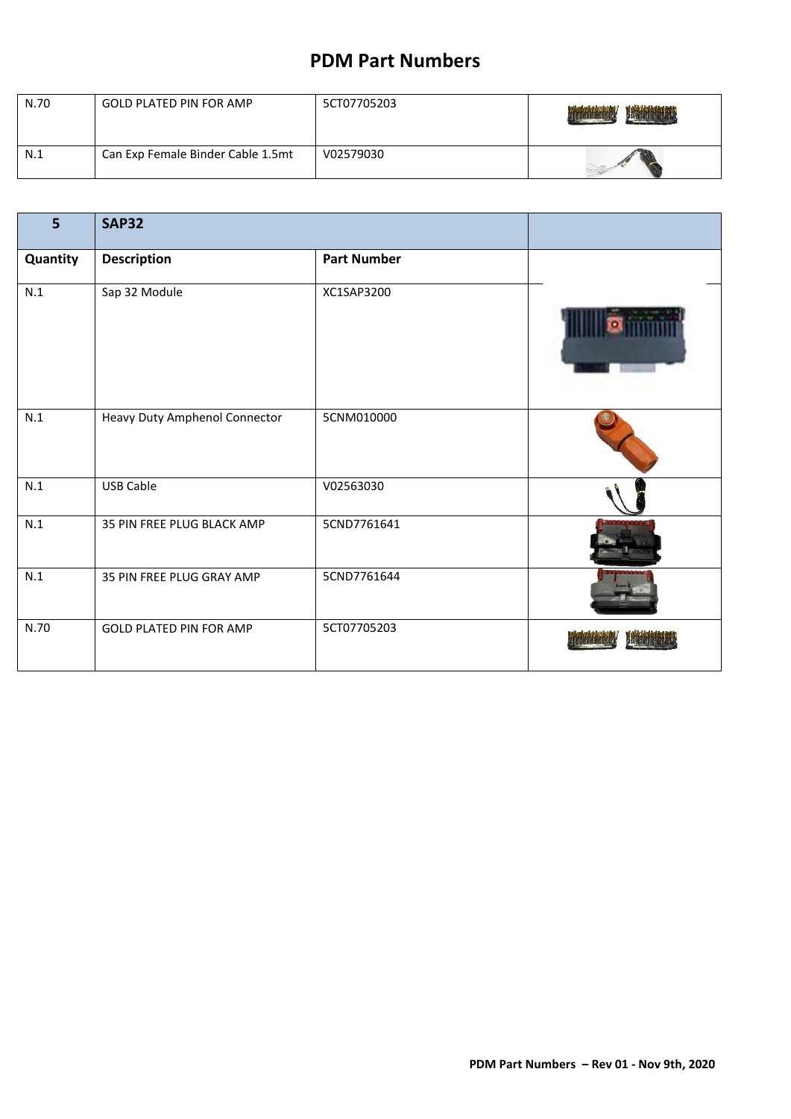| N.70 | <b>GOLD PLATED PIN FOR AMP</b>    | 5CT07705203 | 甜嘴  |
|------|-----------------------------------|-------------|-----|
| N.1  | Can Exp Female Binder Cable 1.5mt | V02579030   | -32 |

| 5        | <b>SAP32</b>                   |                    |  |
|----------|--------------------------------|--------------------|--|
| Quantity | <b>Description</b>             | <b>Part Number</b> |  |
| N.1      | Sap 32 Module                  | XC1SAP3200         |  |
| N.1      | Heavy Duty Amphenol Connector  | 5CNM010000         |  |
| N.1      | <b>USB Cable</b>               | V02563030          |  |
| N.1      | 35 PIN FREE PLUG BLACK AMP     | 5CND7761641        |  |
| N.1      | 35 PIN FREE PLUG GRAY AMP      | 5CND7761644        |  |
| N.70     | <b>GOLD PLATED PIN FOR AMP</b> | 5CT07705203        |  |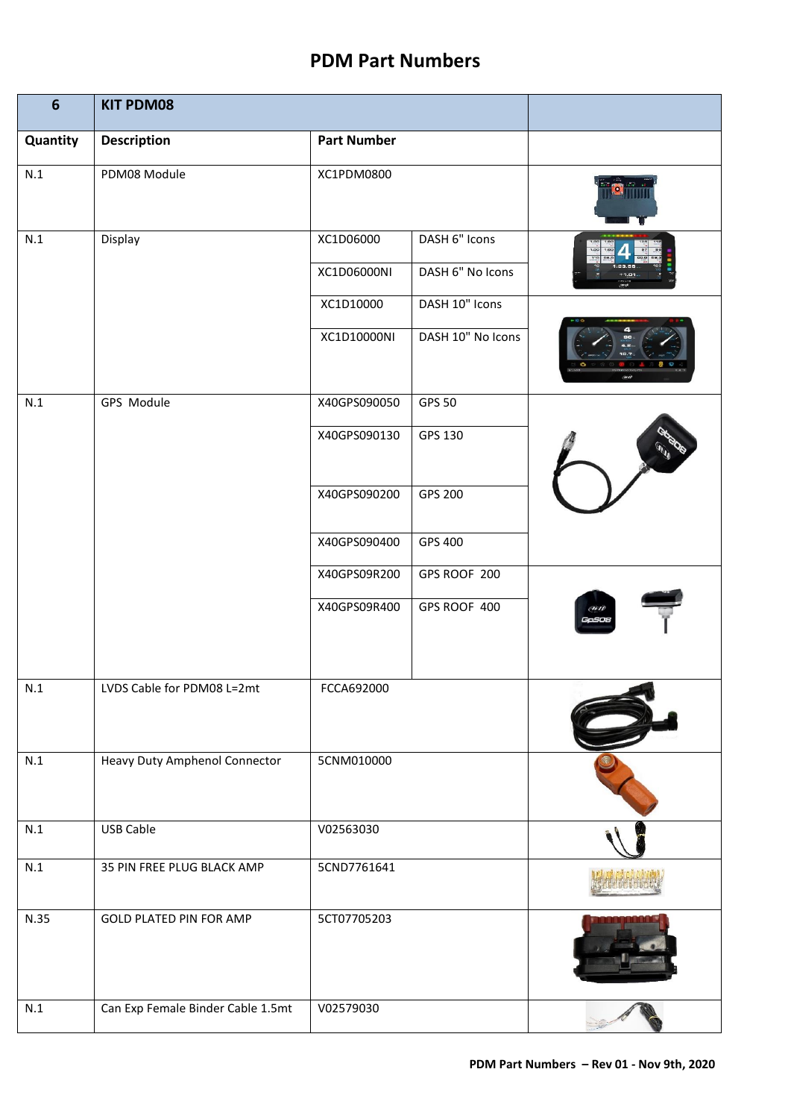| $6\phantom{1}$ | <b>KIT PDM08</b>                     |                    |                   |                       |
|----------------|--------------------------------------|--------------------|-------------------|-----------------------|
| Quantity       | <b>Description</b>                   | <b>Part Number</b> |                   |                       |
| $\mathsf{N}.1$ | PDM08 Module                         | XC1PDM0800         |                   |                       |
| N.1            | Display                              | XC1D06000          | DASH 6" Icons     |                       |
|                |                                      | XC1D06000NI        | DASH 6" No Icons  |                       |
|                |                                      | XC1D10000          | DASH 10" Icons    |                       |
|                |                                      | XC1D10000NI        | DASH 10" No Icons |                       |
| N.1            | GPS Module                           | X40GPS090050       | <b>GPS 50</b>     |                       |
|                |                                      | X40GPS090130       | GPS 130           |                       |
|                |                                      | X40GPS090200       | GPS 200           |                       |
|                |                                      | X40GPS090400       | GPS 400           |                       |
|                |                                      | X40GPS09R200       | GPS ROOF 200      |                       |
|                |                                      | X40GPS09R400       | GPS ROOF 400      | (avr)<br><b>GaSOE</b> |
| N.1            | LVDS Cable for PDM08 L=2mt           | FCCA692000         |                   |                       |
| N.1            | <b>Heavy Duty Amphenol Connector</b> | 5CNM010000         |                   |                       |
| N.1            | USB Cable                            | V02563030          |                   |                       |
| N.1            | 35 PIN FREE PLUG BLACK AMP           | 5CND7761641        |                   |                       |
| N.35           | GOLD PLATED PIN FOR AMP              | 5CT07705203        |                   |                       |
| N.1            | Can Exp Female Binder Cable 1.5mt    | V02579030          |                   |                       |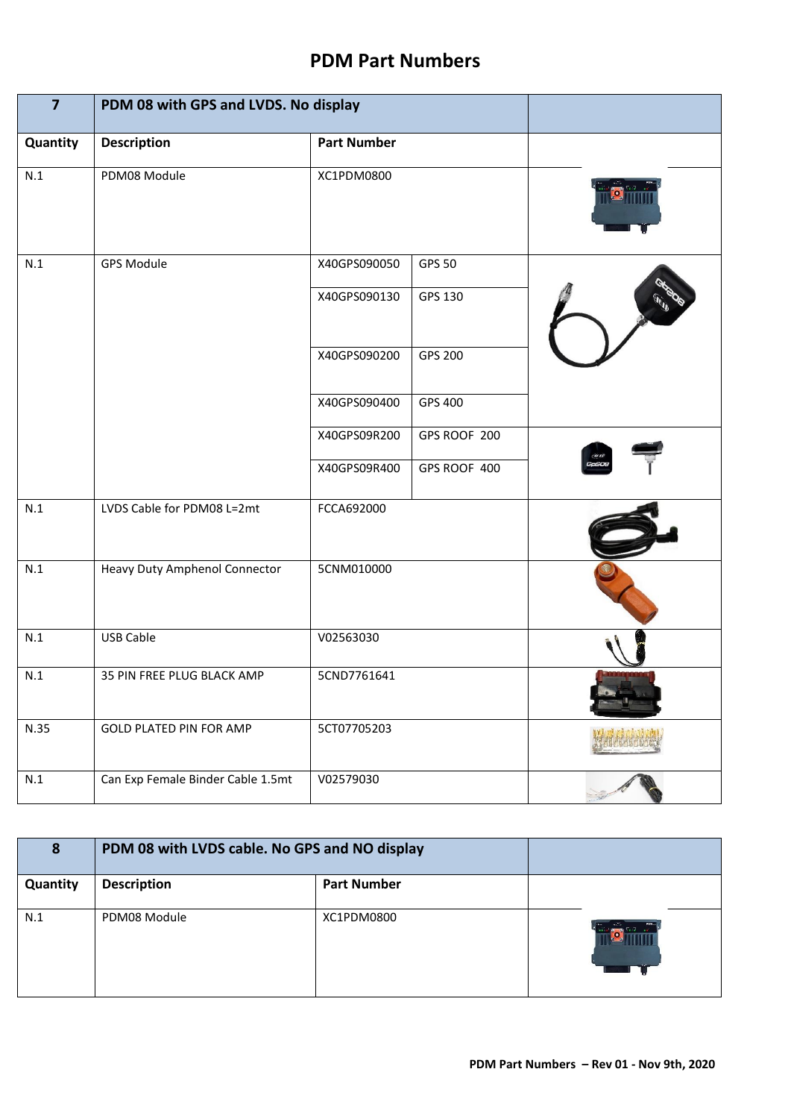| $\overline{7}$ | PDM 08 with GPS and LVDS. No display |                    |               |      |
|----------------|--------------------------------------|--------------------|---------------|------|
| Quantity       | <b>Description</b>                   | <b>Part Number</b> |               |      |
| N.1            | PDM08 Module                         | XC1PDM0800         |               |      |
| N.1            | <b>GPS Module</b>                    | X40GPS090050       | <b>GPS 50</b> |      |
|                |                                      | X40GPS090130       | GPS 130       |      |
|                |                                      | X40GPS090200       | GPS 200       |      |
|                |                                      | X40GPS090400       | GPS 400       |      |
|                |                                      | X40GPS09R200       | GPS ROOF 200  |      |
|                |                                      | X40GPS09R400       | GPS ROOF 400  | Gasc |
| N.1            | LVDS Cable for PDM08 L=2mt           | FCCA692000         |               |      |
| N.1            | Heavy Duty Amphenol Connector        | 5CNM010000         |               |      |
| N.1            | <b>USB Cable</b>                     | V02563030          |               |      |
| N.1            | 35 PIN FREE PLUG BLACK AMP           | 5CND7761641        |               |      |
| N.35           | <b>GOLD PLATED PIN FOR AMP</b>       | 5CT07705203        |               |      |
| N.1            | Can Exp Female Binder Cable 1.5mt    | V02579030          |               |      |

| 8        | PDM 08 with LVDS cable. No GPS and NO display |                    |  |
|----------|-----------------------------------------------|--------------------|--|
| Quantity | <b>Description</b>                            | <b>Part Number</b> |  |
| N.1      | PDM08 Module                                  | XC1PDM0800         |  |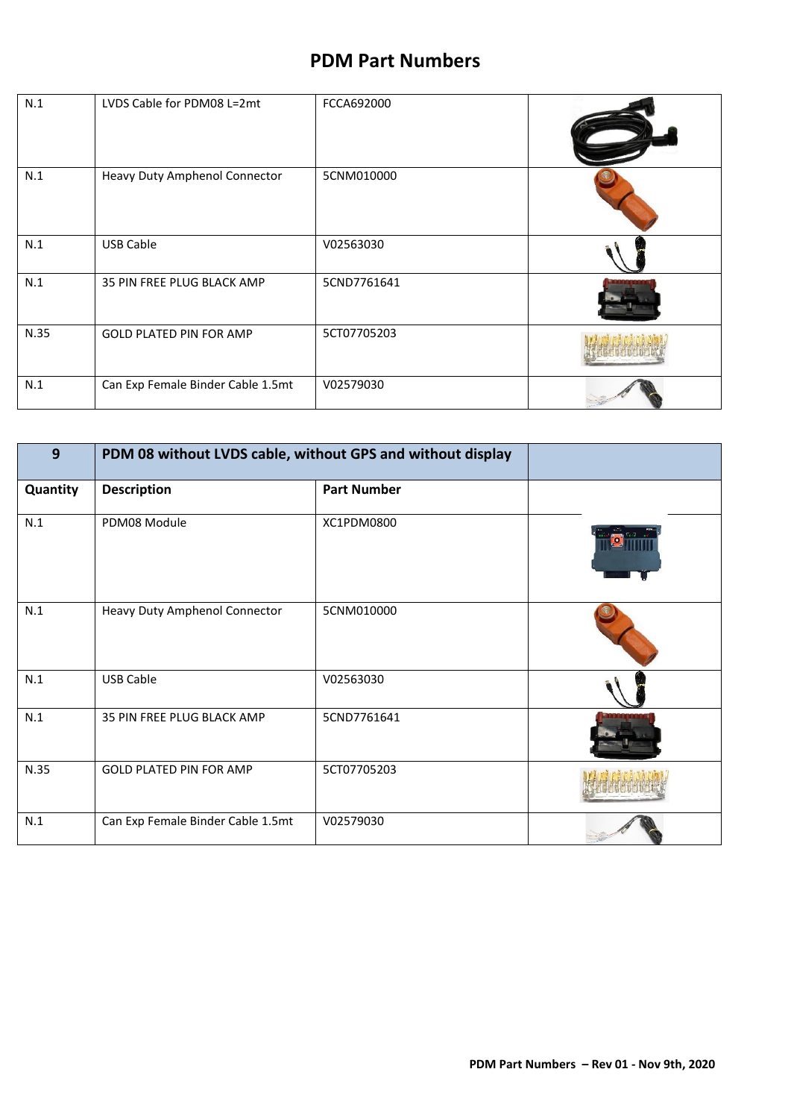| N.1  | LVDS Cable for PDM08 L=2mt        | FCCA692000  |  |
|------|-----------------------------------|-------------|--|
| N.1  | Heavy Duty Amphenol Connector     | 5CNM010000  |  |
| N.1  | <b>USB Cable</b>                  | V02563030   |  |
| N.1  | 35 PIN FREE PLUG BLACK AMP        | 5CND7761641 |  |
| N.35 | <b>GOLD PLATED PIN FOR AMP</b>    | 5CT07705203 |  |
| N.1  | Can Exp Female Binder Cable 1.5mt | V02579030   |  |

| 9        | PDM 08 without LVDS cable, without GPS and without display |                    |  |
|----------|------------------------------------------------------------|--------------------|--|
| Quantity | <b>Description</b>                                         | <b>Part Number</b> |  |
| N.1      | PDM08 Module                                               | XC1PDM0800         |  |
| N.1      | Heavy Duty Amphenol Connector                              | 5CNM010000         |  |
| N.1      | <b>USB Cable</b>                                           | V02563030          |  |
| N.1      | 35 PIN FREE PLUG BLACK AMP                                 | 5CND7761641        |  |
| N.35     | <b>GOLD PLATED PIN FOR AMP</b>                             | 5CT07705203        |  |
| N.1      | Can Exp Female Binder Cable 1.5mt                          | V02579030          |  |